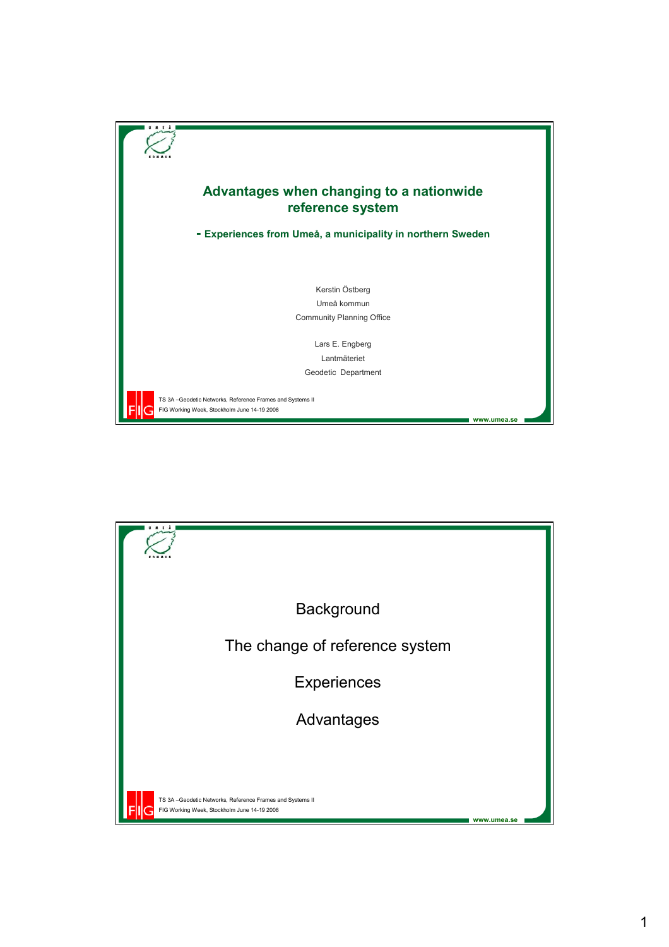

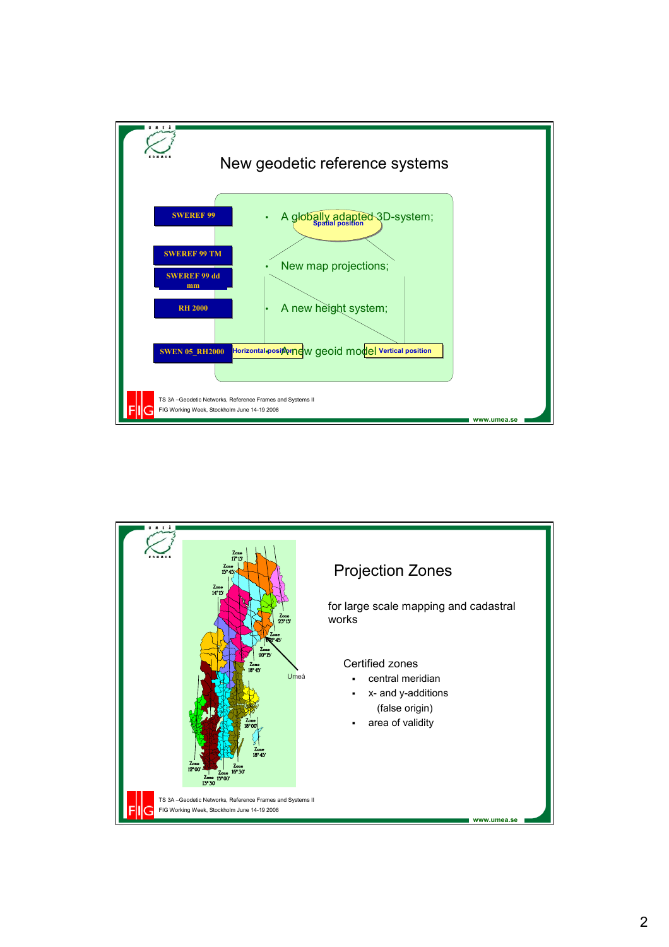

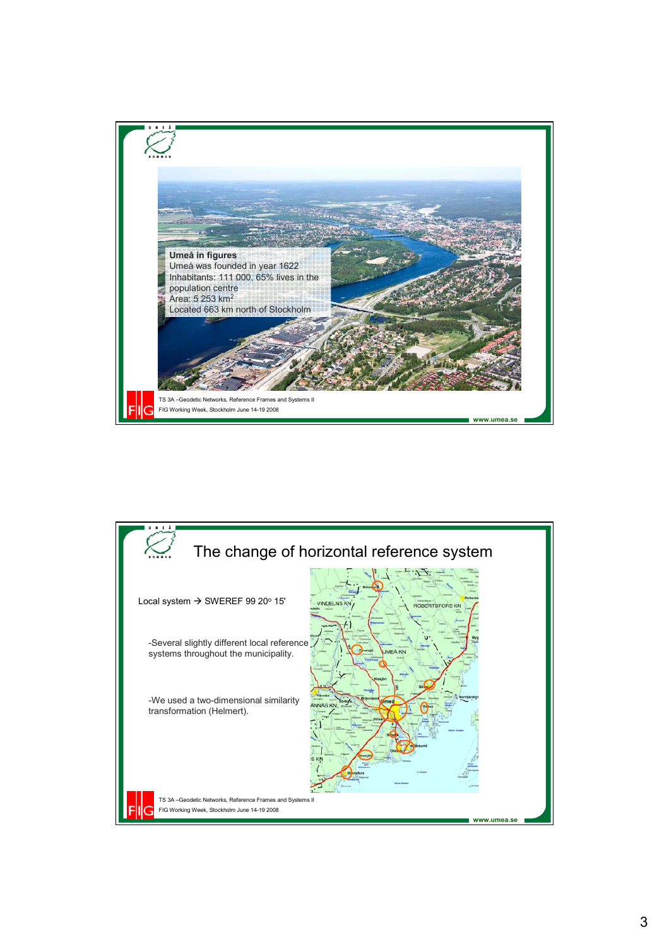

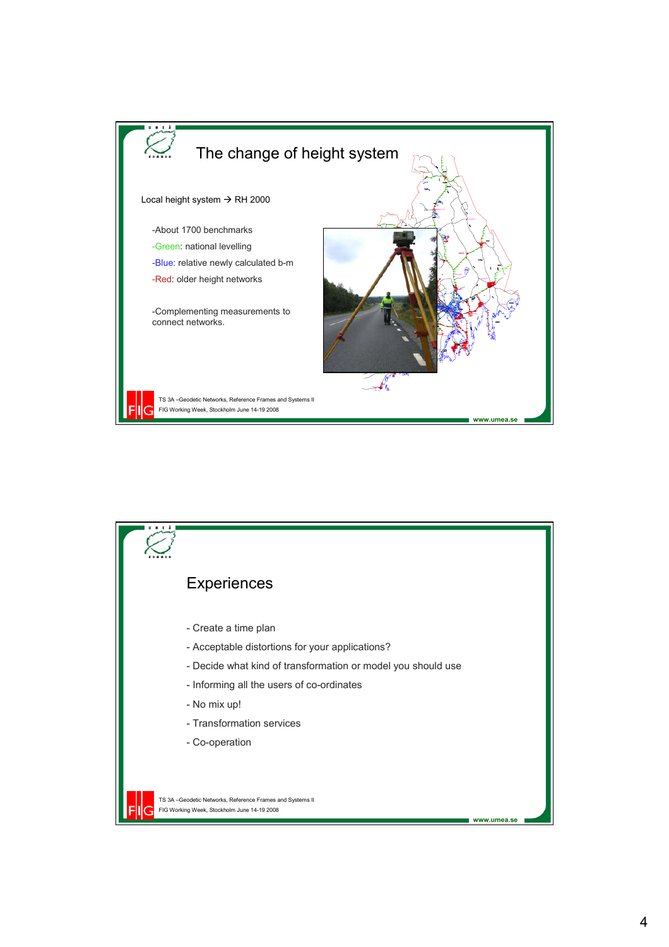